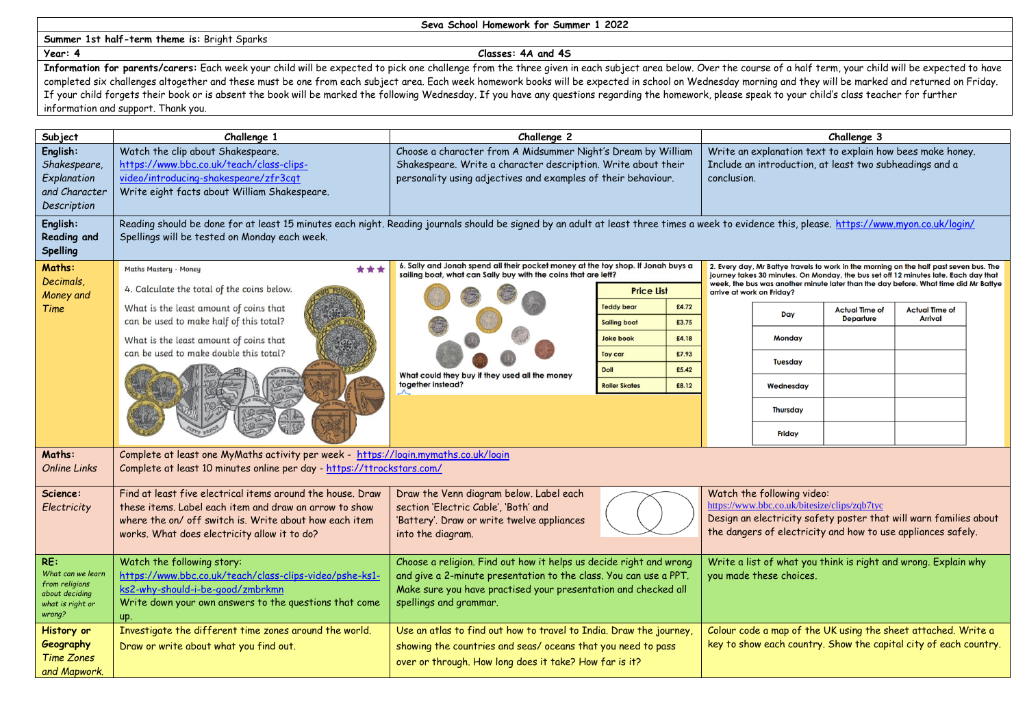## **Summer 1st half-term theme is:** Bright Sparks

## **Seva School Homework for Summer 1 2022**

## **Year: 4 Classes: 4A and 4S**

Information for parents/carers: Each week your child will be expected to pick one challenge from the three given in each subject area below. Over the course of a half term, your child will be expected to have completed six challenges altogether and these must be one from each subject area. Each week homework books will be expected in school on Wednesday morning and they will be marked and returned on Friday. If your child forgets their book or is absent the book will be marked the following Wednesday. If you have any questions regarding the homework, please speak to your child's class teacher for further information and support. Thank you.

| Subject                                                                                    | Challenge 1                                                                                                                                                                                                                                                | Challenge 2                                                                                                                                                                                                                                                                                                                                                                                    |                                                            |  | Challenge 3                                                                                                                                                                                                                                                                                       |                                           |                                         |  |  |
|--------------------------------------------------------------------------------------------|------------------------------------------------------------------------------------------------------------------------------------------------------------------------------------------------------------------------------------------------------------|------------------------------------------------------------------------------------------------------------------------------------------------------------------------------------------------------------------------------------------------------------------------------------------------------------------------------------------------------------------------------------------------|------------------------------------------------------------|--|---------------------------------------------------------------------------------------------------------------------------------------------------------------------------------------------------------------------------------------------------------------------------------------------------|-------------------------------------------|-----------------------------------------|--|--|
| English:<br>Shakespeare,<br>Explanation<br>and Character<br>Description<br>English:        | Watch the clip about Shakespeare.<br>https://www.bbc.co.uk/teach/class-clips-<br>video/introducing-shakespeare/zfr3cqt<br>Write eight facts about William Shakespeare.                                                                                     | Choose a character from A Midsummer Night's Dream by William<br>Shakespeare. Write a character description. Write about their<br>personality using adjectives and examples of their behaviour.<br>Reading should be done for at least 15 minutes each night. Reading journals should be signed by an adult at least three times a week to evidence this, please. https://www.myon.co.uk/login/ |                                                            |  | Write an explanation text to explain how bees make honey.<br>Include an introduction, at least two subheadings and a<br>conclusion.                                                                                                                                                               |                                           |                                         |  |  |
| <b>Reading and</b><br><b>Spelling</b>                                                      | Spellings will be tested on Monday each week.                                                                                                                                                                                                              |                                                                                                                                                                                                                                                                                                                                                                                                |                                                            |  |                                                                                                                                                                                                                                                                                                   |                                           |                                         |  |  |
| Maths:<br>Decimals.<br>Money and<br>Time                                                   | ***<br><b>Maths Mastery - Money</b><br>4. Calculate the total of the coins below.<br>What is the least amount of coins that<br>can be used to make half of this total?<br>What is the least amount of coins that<br>can be used to make double this total? | 6. Sally and Jonah spend all their pocket money at the toy shop. If Jonah buys a<br>sailing boat, what can Sally buy with the coins that are left?<br><b>Price List</b>                                                                                                                                                                                                                        |                                                            |  | 2. Every day, Mr Battye travels to work in the morning on the half past seven bus. The<br>journey takes 30 minutes. On Monday, the bus set off 12 minutes late. Each day that<br>week, the bus was another minute later than the day before. What time did Mr Battye<br>arrive at work on Friday? |                                           |                                         |  |  |
|                                                                                            |                                                                                                                                                                                                                                                            | What could they buy if they used all the money<br>together instead?                                                                                                                                                                                                                                                                                                                            | <b>Teddy bear</b><br>£4.72<br>£3.75<br><b>Sailing boat</b> |  | Day                                                                                                                                                                                                                                                                                               | <b>Actual Time of</b><br><b>Departure</b> | <b>Actual Time of</b><br><b>Arrival</b> |  |  |
|                                                                                            |                                                                                                                                                                                                                                                            |                                                                                                                                                                                                                                                                                                                                                                                                | £4.18<br><b>Joke book</b>                                  |  | <b>Monday</b>                                                                                                                                                                                                                                                                                     |                                           |                                         |  |  |
|                                                                                            |                                                                                                                                                                                                                                                            |                                                                                                                                                                                                                                                                                                                                                                                                | £7.93<br><b>Toy car</b><br><b>Doll</b><br>£5.42            |  | Tuesday                                                                                                                                                                                                                                                                                           |                                           |                                         |  |  |
|                                                                                            |                                                                                                                                                                                                                                                            |                                                                                                                                                                                                                                                                                                                                                                                                | <b>Roller Skates</b><br>£8.12                              |  | Wednesday                                                                                                                                                                                                                                                                                         |                                           |                                         |  |  |
|                                                                                            |                                                                                                                                                                                                                                                            |                                                                                                                                                                                                                                                                                                                                                                                                |                                                            |  | <b>Thursday</b>                                                                                                                                                                                                                                                                                   |                                           |                                         |  |  |
|                                                                                            |                                                                                                                                                                                                                                                            |                                                                                                                                                                                                                                                                                                                                                                                                |                                                            |  | <b>Friday</b>                                                                                                                                                                                                                                                                                     |                                           |                                         |  |  |
| Maths:<br><b>Online Links</b>                                                              | Complete at least one MyMaths activity per week - https://login.mymaths.co.uk/login<br>Complete at least 10 minutes online per day - https://ttrockstars.com/                                                                                              |                                                                                                                                                                                                                                                                                                                                                                                                |                                                            |  |                                                                                                                                                                                                                                                                                                   |                                           |                                         |  |  |
| Science:<br>Electricity                                                                    | Find at least five electrical items around the house. Draw<br>these items. Label each item and draw an arrow to show<br>where the on/ off switch is. Write about how each item<br>works. What does electricity allow it to do?                             | Draw the Venn diagram below. Label each<br>section 'Electric Cable', 'Both' and<br>'Battery'. Draw or write twelve appliances<br>into the diagram.                                                                                                                                                                                                                                             |                                                            |  | Watch the following video:<br>https://www.bbc.co.uk/bitesize/clips/zqb7tyc<br>Design an electricity safety poster that will warn families about<br>the dangers of electricity and how to use appliances safely.                                                                                   |                                           |                                         |  |  |
| RE:<br>What can we learn<br>from religions<br>about deciding<br>what is right or<br>wrong? | Watch the following story:<br>https://www.bbc.co.uk/teach/class-clips-video/pshe-ks1-<br>ks2-why-should-i-be-good/zmbrkmn<br>Write down your own answers to the questions that come<br>up.                                                                 | Choose a religion. Find out how it helps us decide right and wrong<br>and give a 2-minute presentation to the class. You can use a PPT.<br>Make sure you have practised your presentation and checked all<br>spellings and grammar.                                                                                                                                                            |                                                            |  | Write a list of what you think is right and wrong. Explain why<br>you made these choices.                                                                                                                                                                                                         |                                           |                                         |  |  |
| History or<br>Geography<br><b>Time Zones</b><br>and Mapwork.                               | Investigate the different time zones around the world.<br>Draw or write about what you find out.                                                                                                                                                           | Use an atlas to find out how to travel to India. Draw the journey,<br>showing the countries and seas/ oceans that you need to pass<br>over or through. How long does it take? How far is it?                                                                                                                                                                                                   |                                                            |  | Colour code a map of the UK using the sheet attached. Write a<br>key to show each country. Show the capital city of each country.                                                                                                                                                                 |                                           |                                         |  |  |